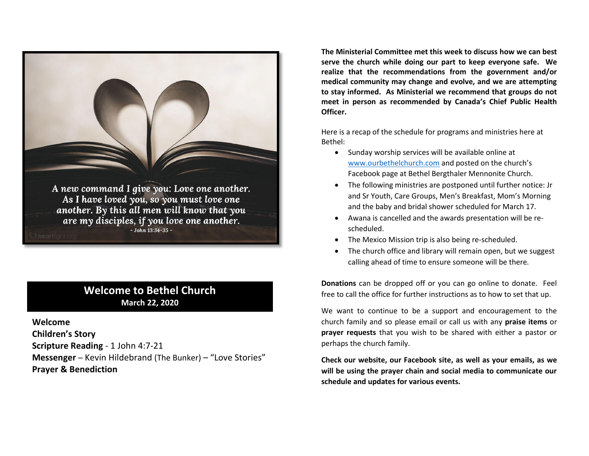

# **Welcome to Bethel Church March 22, 2020**

**Welcome Children's Story Scripture Reading** - 1 John 4:7-21 **Messenger** – Kevin Hildebrand (The Bunker) – "Love Stories" **Prayer & Benediction**

**The Ministerial Committee met this week to discuss how we can best serve the church while doing our part to keep everyone safe. We realize that the recommendations from the government and/or medical community may change and evolve, and we are attempting to stay informed. As Ministerial we recommend that groups do not meet in person as recommended by Canada's Chief Public Health Officer.**

Here is a recap of the schedule for programs and ministries here at Bethel:

- Sunday worship services will be available online at [www.ourbethelchurch.com](http://www.ourbethelchurch.com/) and posted on the church's Facebook page at Bethel Bergthaler Mennonite Church.
- The following ministries are postponed until further notice: Jr and Sr Youth, Care Groups, Men's Breakfast, Mom's Morning and the baby and bridal shower scheduled for March 17.
- Awana is cancelled and the awards presentation will be rescheduled.
- The Mexico Mission trip is also being re-scheduled.
- The church office and library will remain open, but we suggest calling ahead of time to ensure someone will be there.

**Donations** can be dropped off or you can go online to donate. Feel free to call the office for further instructions as to how to set that up.

We want to continue to be a support and encouragement to the church family and so please email or call us with any **praise items** or **prayer requests** that you wish to be shared with either a pastor or perhaps the church family.

**Check our website, our Facebook site, as well as your emails, as we will be using the prayer chain and social media to communicate our schedule and updates for various events.**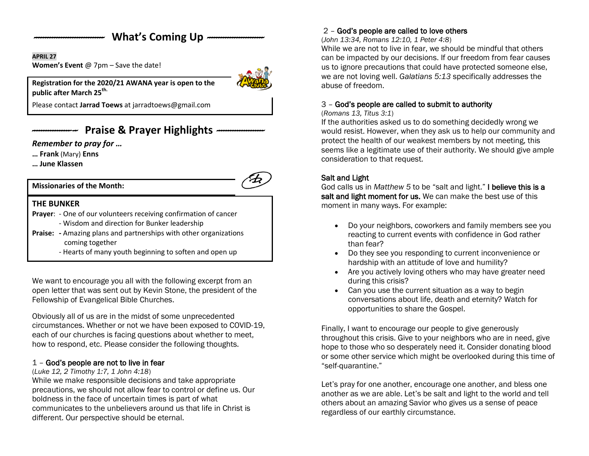# What's Coming Up  $-$

#### **APRIL 27**

**Women's Event** @ 7pm – Save the date!



**Registration for the 2020/21 AWANA year is open to the public after March 25th.**

Please contact **Jarrad Toews** at [jarradtoews@gmail.com](mailto:jarradtoews@gmail.com)

# *--------------------* **Praise & Prayer Highlights** *---------------------*

*Remember to pray for …*

**… Frank** (Mary) **Enns**

**… June Klassen**

**Missionaries of the Month:**



## **THE BUNKER**

**Prayer**: - One of our volunteers receiving confirmation of cancer

- Wisdom and direction for Bunker leadership
- **Praise: -** Amazing plans and partnerships with other organizations coming together
	- Hearts of many youth beginning to soften and open up

We want to encourage you all with the following excerpt from an open letter that was sent out by Kevin Stone, the president of the Fellowship of Evangelical Bible Churches.

Obviously all of us are in the midst of some unprecedented circumstances. Whether or not we have been exposed to COVID-19, each of our churches is facing questions about whether to meet, how to respond, etc. Please consider the following thoughts.

## 1 – God's people are not to live in fear

#### (*Luke 12, 2 Timothy 1:7, 1 John 4:18*)

While we make responsible decisions and take appropriate precautions, we should not allow fear to control or define us. Our boldness in the face of uncertain times is part of what communicates to the unbelievers around us that life in Christ is different. Our perspective should be eternal.

# 2 – God's people are called to love others

(*John 13:34, Romans 12:10, 1 Peter 4:8*)

While we are not to live in fear, we should be mindful that others can be impacted by our decisions. If our freedom from fear causes us to ignore precautions that could have protected someone else, we are not loving well. *Galatians 5:13* specifically addresses the abuse of freedom.

#### 3 – God's people are called to submit to authority

#### (*Romans 13, Titus 3:1*)

If the authorities asked us to do something decidedly wrong we would resist. However, when they ask us to help our community and protect the health of our weakest members by not meeting, this seems like a legitimate use of their authority. We should give ample consideration to that request.

## Salt and Light

God calls us in *Matthew 5* to be "salt and light." I believe this is a salt and light moment for us. We can make the best use of this moment in many ways. For example:

- Do your neighbors, coworkers and family members see you reacting to current events with confidence in God rather than fear?
- Do they see you responding to current inconvenience or hardship with an attitude of love and humility?
- Are you actively loving others who may have greater need during this crisis?
- Can you use the current situation as a way to begin conversations about life, death and eternity? Watch for opportunities to share the Gospel.

Finally, I want to encourage our people to give generously throughout this crisis. Give to your neighbors who are in need, give hope to those who so desperately need it. Consider donating blood or some other service which might be overlooked during this time of "self-quarantine."

Let's pray for one another, encourage one another, and bless one another as we are able. Let's be salt and light to the world and tell others about an amazing Savior who gives us a sense of peace regardless of our earthly circumstance.